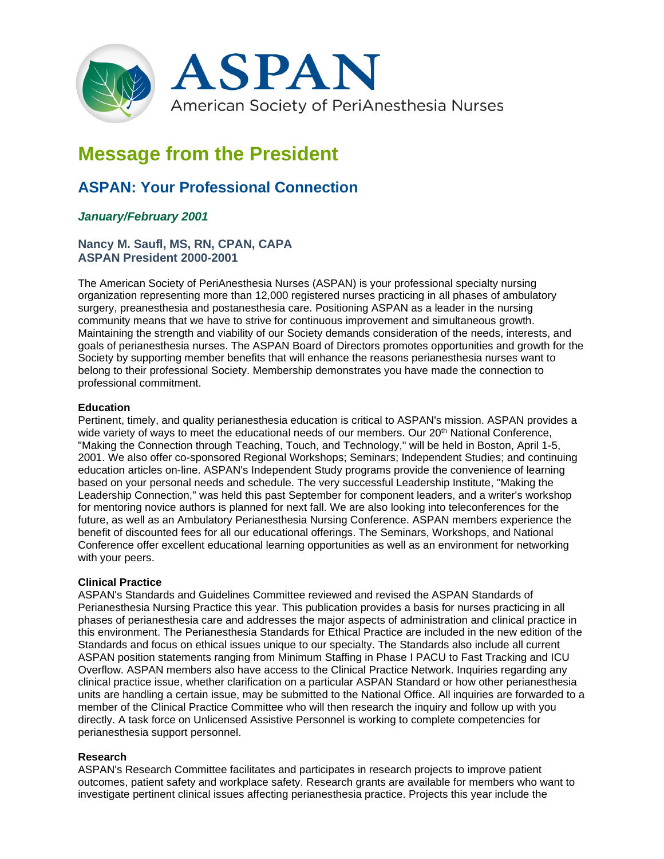

# **Message from the President**

# **ASPAN: Your Professional Connection**

# *January/February 2001*

# **Nancy M. Saufl, MS, RN, CPAN, CAPA ASPAN President 2000-2001**

The American Society of PeriAnesthesia Nurses (ASPAN) is your professional specialty nursing organization representing more than 12,000 registered nurses practicing in all phases of ambulatory surgery, preanesthesia and postanesthesia care. Positioning ASPAN as a leader in the nursing community means that we have to strive for continuous improvement and simultaneous growth. Maintaining the strength and viability of our Society demands consideration of the needs, interests, and goals of perianesthesia nurses. The ASPAN Board of Directors promotes opportunities and growth for the Society by supporting member benefits that will enhance the reasons perianesthesia nurses want to belong to their professional Society. Membership demonstrates you have made the connection to professional commitment.

### **Education**

Pertinent, timely, and quality perianesthesia education is critical to ASPAN's mission. ASPAN provides a wide variety of ways to meet the educational needs of our members. Our  $20<sup>th</sup>$  National Conference, "Making the Connection through Teaching, Touch, and Technology," will be held in Boston, April 1-5, 2001. We also offer co-sponsored Regional Workshops; Seminars; Independent Studies; and continuing education articles on-line. ASPAN's Independent Study programs provide the convenience of learning based on your personal needs and schedule. The very successful Leadership Institute, "Making the Leadership Connection," was held this past September for component leaders, and a writer's workshop for mentoring novice authors is planned for next fall. We are also looking into teleconferences for the future, as well as an Ambulatory Perianesthesia Nursing Conference. ASPAN members experience the benefit of discounted fees for all our educational offerings. The Seminars, Workshops, and National Conference offer excellent educational learning opportunities as well as an environment for networking with your peers.

#### **Clinical Practice**

ASPAN's Standards and Guidelines Committee reviewed and revised the ASPAN Standards of Perianesthesia Nursing Practice this year. This publication provides a basis for nurses practicing in all phases of perianesthesia care and addresses the major aspects of administration and clinical practice in this environment. The Perianesthesia Standards for Ethical Practice are included in the new edition of the Standards and focus on ethical issues unique to our specialty. The Standards also include all current ASPAN position statements ranging from Minimum Staffing in Phase I PACU to Fast Tracking and ICU Overflow. ASPAN members also have access to the Clinical Practice Network. Inquiries regarding any clinical practice issue, whether clarification on a particular ASPAN Standard or how other perianesthesia units are handling a certain issue, may be submitted to the National Office. All inquiries are forwarded to a member of the Clinical Practice Committee who will then research the inquiry and follow up with you directly. A task force on Unlicensed Assistive Personnel is working to complete competencies for perianesthesia support personnel.

#### **Research**

ASPAN's Research Committee facilitates and participates in research projects to improve patient outcomes, patient safety and workplace safety. Research grants are available for members who want to investigate pertinent clinical issues affecting perianesthesia practice. Projects this year include the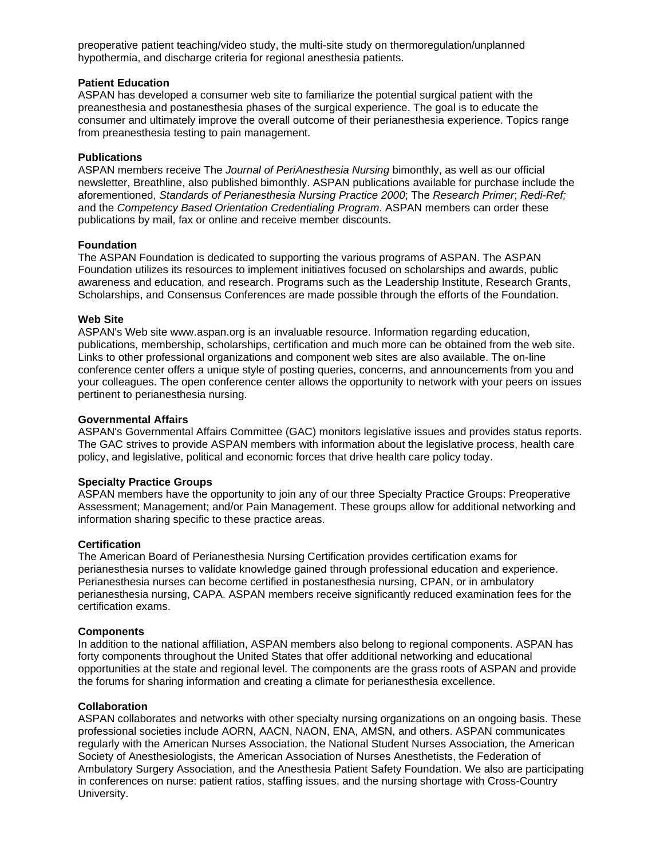preoperative patient teaching/video study, the multi-site study on thermoregulation/unplanned hypothermia, and discharge criteria for regional anesthesia patients.

#### **Patient Education**

ASPAN has developed a consumer web site to familiarize the potential surgical patient with the preanesthesia and postanesthesia phases of the surgical experience. The goal is to educate the consumer and ultimately improve the overall outcome of their perianesthesia experience. Topics range from preanesthesia testing to pain management.

#### **Publications**

ASPAN members receive The *Journal of PeriAnesthesia Nursing* bimonthly, as well as our official newsletter, Breathline, also published bimonthly. ASPAN publications available for purchase include the aforementioned, *Standards of Perianesthesia Nursing Practice 2000*; The *Research Primer*; *Redi-Ref;* and the *Competency Based Orientation Credentialing Program*. ASPAN members can order these publications by mail, fax or online and receive member discounts.

#### **Foundation**

The ASPAN Foundation is dedicated to supporting the various programs of ASPAN. The ASPAN Foundation utilizes its resources to implement initiatives focused on scholarships and awards, public awareness and education, and research. Programs such as the Leadership Institute, Research Grants, Scholarships, and Consensus Conferences are made possible through the efforts of the Foundation.

#### **Web Site**

ASPAN's Web site www.aspan.org is an invaluable resource. Information regarding education, publications, membership, scholarships, certification and much more can be obtained from the web site. Links to other professional organizations and component web sites are also available. The on-line conference center offers a unique style of posting queries, concerns, and announcements from you and your colleagues. The open conference center allows the opportunity to network with your peers on issues pertinent to perianesthesia nursing.

#### **Governmental Affairs**

ASPAN's Governmental Affairs Committee (GAC) monitors legislative issues and provides status reports. The GAC strives to provide ASPAN members with information about the legislative process, health care policy, and legislative, political and economic forces that drive health care policy today.

## **Specialty Practice Groups**

ASPAN members have the opportunity to join any of our three Specialty Practice Groups: Preoperative Assessment; Management; and/or Pain Management. These groups allow for additional networking and information sharing specific to these practice areas.

#### **Certification**

The American Board of Perianesthesia Nursing Certification provides certification exams for perianesthesia nurses to validate knowledge gained through professional education and experience. Perianesthesia nurses can become certified in postanesthesia nursing, CPAN, or in ambulatory perianesthesia nursing, CAPA. ASPAN members receive significantly reduced examination fees for the certification exams.

#### **Components**

In addition to the national affiliation, ASPAN members also belong to regional components. ASPAN has forty components throughout the United States that offer additional networking and educational opportunities at the state and regional level. The components are the grass roots of ASPAN and provide the forums for sharing information and creating a climate for perianesthesia excellence.

#### **Collaboration**

ASPAN collaborates and networks with other specialty nursing organizations on an ongoing basis. These professional societies include AORN, AACN, NAON, ENA, AMSN, and others. ASPAN communicates regularly with the American Nurses Association, the National Student Nurses Association, the American Society of Anesthesiologists, the American Association of Nurses Anesthetists, the Federation of Ambulatory Surgery Association, and the Anesthesia Patient Safety Foundation. We also are participating in conferences on nurse: patient ratios, staffing issues, and the nursing shortage with Cross-Country University.